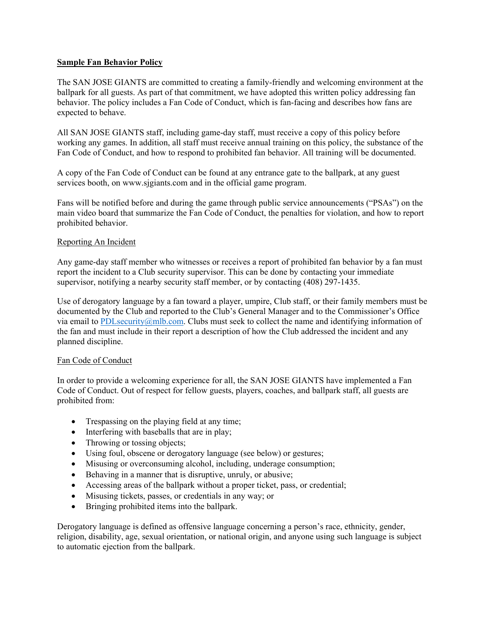## **Sample Fan Behavior Policy**

The SAN JOSE GIANTS are committed to creating a family-friendly and welcoming environment at the ballpark for all guests. As part of that commitment, we have adopted this written policy addressing fan behavior. The policy includes a Fan Code of Conduct, which is fan-facing and describes how fans are expected to behave.

All SAN JOSE GIANTS staff, including game-day staff, must receive a copy of this policy before working any games. In addition, all staff must receive annual training on this policy, the substance of the Fan Code of Conduct, and how to respond to prohibited fan behavior. All training will be documented.

A copy of the Fan Code of Conduct can be found at any entrance gate to the ballpark, at any guest services booth, on www.sjgiants.com and in the official game program.

Fans will be notified before and during the game through public service announcements ("PSAs") on the main video board that summarize the Fan Code of Conduct, the penalties for violation, and how to report prohibited behavior.

## Reporting An Incident

Any game-day staff member who witnesses or receives a report of prohibited fan behavior by a fan must report the incident to a Club security supervisor. This can be done by contacting your immediate supervisor, notifying a nearby security staff member, or by contacting (408) 297-1435.

Use of derogatory language by a fan toward a player, umpire, Club staff, or their family members must be documented by the Club and reported to the Club's General Manager and to the Commissioner's Office via email to PDLsecurity@mlb.com. Clubs must seek to collect the name and identifying information of the fan and must include in their report a description of how the Club addressed the incident and any planned discipline.

## Fan Code of Conduct

In order to provide a welcoming experience for all, the SAN JOSE GIANTS have implemented a Fan Code of Conduct. Out of respect for fellow guests, players, coaches, and ballpark staff, all guests are prohibited from:

- Trespassing on the playing field at any time;
- Interfering with baseballs that are in play;
- Throwing or tossing objects;
- Using foul, obscene or derogatory language (see below) or gestures;
- Misusing or overconsuming alcohol, including, underage consumption;
- Behaving in a manner that is disruptive, unruly, or abusive;
- Accessing areas of the ballpark without a proper ticket, pass, or credential;
- Misusing tickets, passes, or credentials in any way; or
- Bringing prohibited items into the ballpark.

Derogatory language is defined as offensive language concerning a person's race, ethnicity, gender, religion, disability, age, sexual orientation, or national origin, and anyone using such language is subject to automatic ejection from the ballpark.